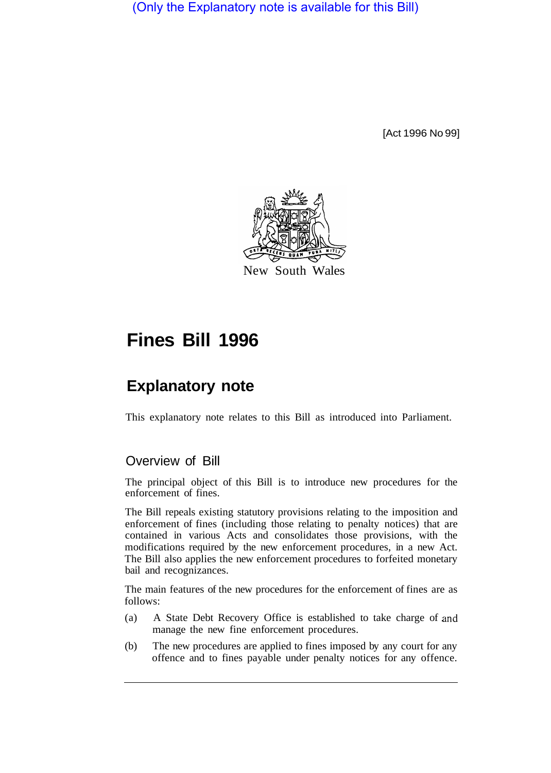(Only the Explanatory note is available for this Bill)

[Act 1996 No 99]



# **Fines Bill 1996**

## **Explanatory note**

This explanatory note relates to this Bill as introduced into Parliament.

## Overview of Bill

The principal object of this Bill is to introduce new procedures for the enforcement of fines.

The Bill repeals existing statutory provisions relating to the imposition and enforcement of fines (including those relating to penalty notices) that are contained in various Acts and consolidates those provisions, with the modifications required by the new enforcement procedures, in a new Act. The Bill also applies the new enforcement procedures to forfeited monetary bail and recognizances.

The main features of the new procedures for the enforcement of fines are as follows:

- (a) A State Debt Recovery Office is established to take charge of and manage the new fine enforcement procedures.
- (b) The new procedures are applied to fines imposed by any court for any offence and to fines payable under penalty notices for any offence.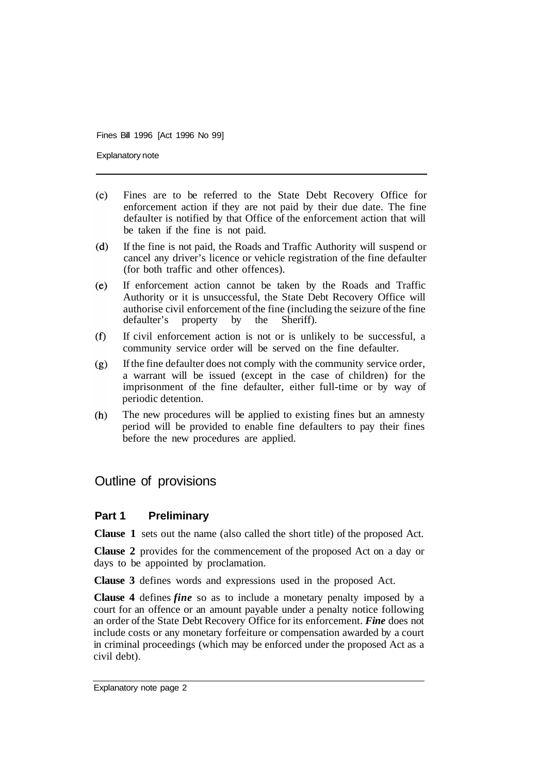Explanatory note

- Fines are to be referred to the State Debt Recovery Office for  $(c)$ enforcement action if they are not paid by their due date. The fine defaulter is notified by that Office of the enforcement action that will be taken if the fine is not paid.
- $(d)$ If the fine is not paid, the Roads and Traffic Authority will suspend or cancel any driver's licence or vehicle registration of the fine defaulter (for both traffic and other offences).
- If enforcement action cannot be taken by the Roads and Traffic  $(e)$ Authority or it is unsuccessful, the State Debt Recovery Office will authorise civil enforcement of the fine (including the seizure of the fine defaulter's property by the Sheriff). defaulter's property.
- $(f)$ If civil enforcement action is not or is unlikely to be successful, a community service order will be served on the fine defaulter.
- If the fine defaulter does not comply with the community service order,  $(g)$ a warrant will be issued (except in the case of children) for the imprisonment of the fine defaulter, either full-time or by way of periodic detention.
- The new procedures will be applied to existing fines but an amnesty  $(h)$ period will be provided to enable fine defaulters to pay their fines before the new procedures are applied.

## Outline of provisions

#### **Part 1 Preliminary**

**Clause 1** sets out the name (also called the short title) of the proposed Act.

**Clause 2** provides for the commencement of the proposed Act on a day or days to be appointed by proclamation.

**Clause 3** defines words and expressions used in the proposed Act.

**Clause 4** defines *fine* so as to include a monetary penalty imposed by a court for an offence or an amount payable under a penalty notice following an order of the State Debt Recovery Office for its enforcement. *Fine* does not include costs or any monetary forfeiture or compensation awarded by a court in criminal proceedings (which may be enforced under the proposed Act as a civil debt).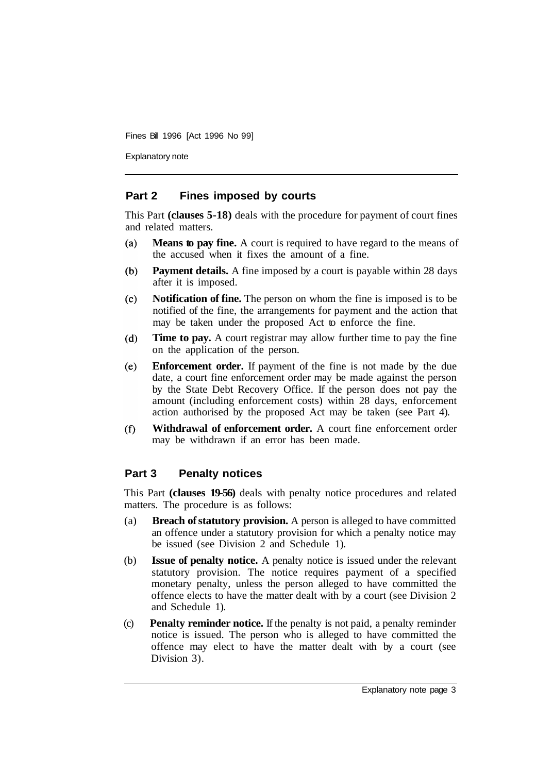Explanatory note

#### **Part 2 Fines imposed by courts**

This Part **(clauses 5-18)** deals with the procedure for payment of court fines and related matters.

- **Means to pay fine.** A court is required to have regard to the means of  $(a)$ the accused when it fixes the amount of a fine.
- **Payment details.** A fine imposed by a court is payable within 28 days  $(b)$ after it is imposed.
- **Notification of fine.** The person on whom the fine is imposed is to be  $(c)$ notified of the fine, the arrangements for payment and the action that may be taken under the proposed Act to enforce the fine.
- $(d)$ **Time to pay.** A court registrar may allow further time to pay the fine on the application of the person.
- **Enforcement order.** If payment of the fine is not made by the due  $(e)$ date, a court fine enforcement order may be made against the person by the State Debt Recovery Office. If the person does not pay the amount (including enforcement costs) within 28 days, enforcement action authorised by the proposed Act may be taken (see Part 4).
- **Withdrawal of enforcement order.** A court fine enforcement order  $(f)$ may be withdrawn if an error has been made.

#### **Part 3 Penalty notices**

This Part **(clauses 19-56)** deals with penalty notice procedures and related matters. The procedure is as follows:

- (a) **Breach of statutory provision.** A person is alleged to have committed an offence under a statutory provision for which a penalty notice may be issued (see Division 2 and Schedule 1).
- (b) **Issue of penalty notice.** A penalty notice is issued under the relevant statutory provision. The notice requires payment of a specified monetary penalty, unless the person alleged to have committed the offence elects to have the matter dealt with by a court (see Division 2 and Schedule 1).
- (c) **Penalty reminder notice.** If the penalty is not paid, a penalty reminder notice is issued. The person who is alleged to have committed the offence may elect to have the matter dealt with by a court (see Division 3).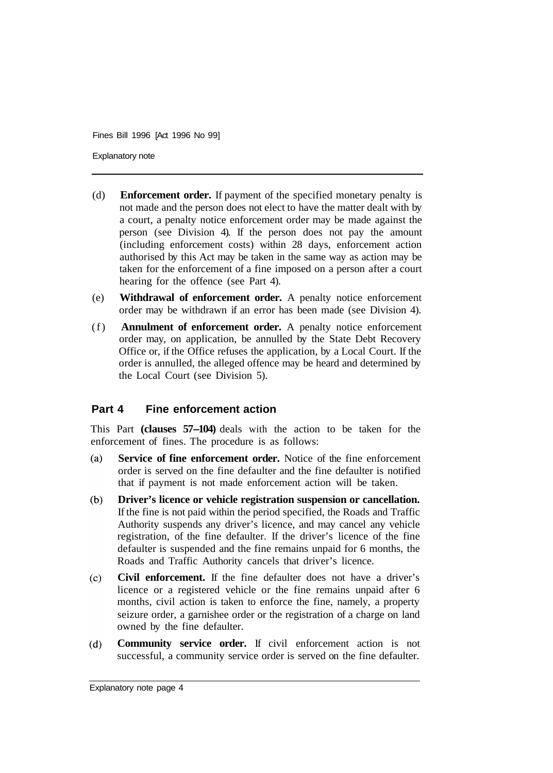Explanatory note

- (d) **Enforcement order.** If payment of the specified monetary penalty is not made and the person does not elect to have the matter dealt with by a court, a penalty notice enforcement order may be made against the person (see Division 4). If the person does not pay the amount (including enforcement costs) within 28 days, enforcement action authorised by this Act may be taken in the same way as action may be taken for the enforcement of a fine imposed on a person after a court hearing for the offence (see Part 4).
- (e) **Withdrawal of enforcement order.** A penalty notice enforcement order may be withdrawn if an error has been made (see Division 4).
- (f) **Annulment of enforcement order.** A penalty notice enforcement order may, on application, be annulled by the State Debt Recovery Office or, if the Office refuses the application, by a Local Court. If the order is annulled, the alleged offence may be heard and determined by the Local Court (see Division 5).

## **Part 4 Fine enforcement action**

This Part **(clauses 57-104)** deals with the action to be taken for the enforcement of fines. The procedure is as follows:

- $(a)$ **Service of fine enforcement order.** Notice of the fine enforcement order is served on the fine defaulter and the fine defaulter is notified that if payment is not made enforcement action will be taken.
- $(b)$ **Driver's licence or vehicle registration suspension or cancellation.**  If the fine is not paid within the period specified, the Roads and Traffic Authority suspends any driver's licence, and may cancel any vehicle registration, of the fine defaulter. If the driver's licence of the fine defaulter is suspended and the fine remains unpaid for 6 months, the Roads and Traffic Authority cancels that driver's licence.
- **Civil enforcement.** If the fine defaulter does not have a driver's  $(c)$ licence or a registered vehicle or the fine remains unpaid after 6 months, civil action is taken to enforce the fine, namely, a property seizure order, a garnishee order or the registration of a charge on land owned by the fine defaulter.
- $(d)$ **Community service order.** If civil enforcement action is not successful, a community service order is served on the fine defaulter.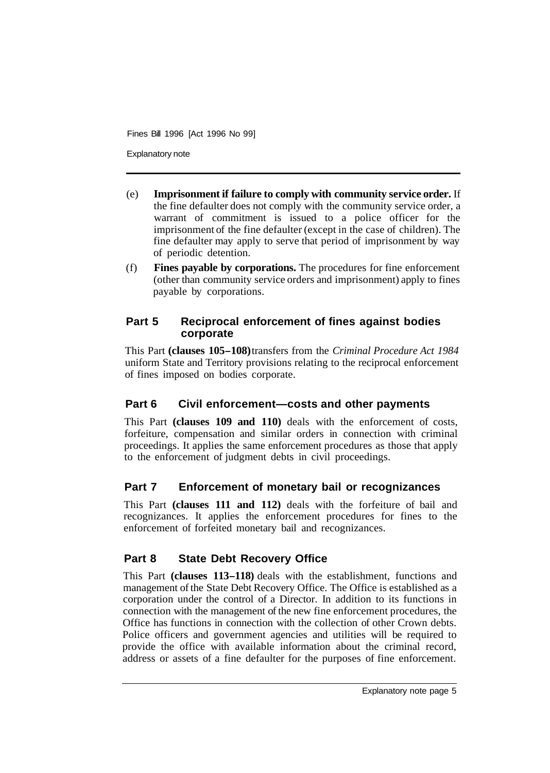Explanatory note

- (e) **Imprisonment if failure to comply with community service order.** If the fine defaulter does not comply with the community service order, a warrant of commitment is issued to a police officer for the imprisonment of the fine defaulter (except in the case of children). The fine defaulter may apply to serve that period of imprisonment by way of periodic detention.
- (f) **Fines payable by corporations.** The procedures for fine enforcement (other than community service orders and imprisonment) apply to fines payable by corporations.

#### **Part 5 Reciprocal enforcement of fines against bodies corporate**

This Part **(clauses 105-108)** transfers from the *Criminal Procedure Act 1984*  uniform State and Territory provisions relating to the reciprocal enforcement of fines imposed on bodies corporate.

## **Part 6 Civil enforcement—costs and other payments**

This Part **(clauses 109 and 110)** deals with the enforcement of costs, forfeiture, compensation and similar orders in connection with criminal proceedings. It applies the same enforcement procedures as those that apply to the enforcement of judgment debts in civil proceedings.

## **Part 7 Enforcement of monetary bail or recognizances**

This Part **(clauses 111 and 112)** deals with the forfeiture of bail and recognizances. It applies the enforcement procedures for fines to the enforcement of forfeited monetary bail and recognizances.

## **Part 8 State Debt Recovery Office**

This Part **(clauses 113-118)** deals with the establishment, functions and management of the State Debt Recovery Office. The Office is established as a corporation under the control of a Director. In addition to its functions in connection with the management of the new fine enforcement procedures, the Office has functions in connection with the collection of other Crown debts. Police officers and government agencies and utilities will be required to provide the office with available information about the criminal record, address or assets of a fine defaulter for the purposes of fine enforcement.